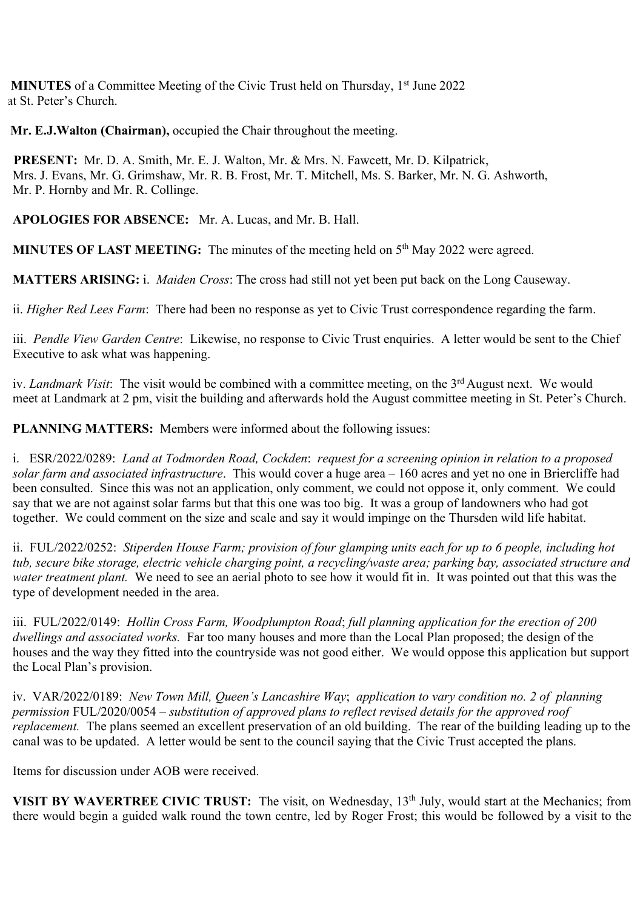**MINUTES** of a Committee Meeting of the Civic Trust held on Thursday, 1<sup>st</sup> June 2022 at St. Peter's Church.

 **Mr. E.J.Walton (Chairman),** occupied the Chair throughout the meeting.

 **PRESENT:** Mr. D. A. Smith, Mr. E. J. Walton, Mr. & Mrs. N. Fawcett, Mr. D. Kilpatrick, Mrs. J. Evans, Mr. G. Grimshaw, Mr. R. B. Frost, Mr. T. Mitchell, Ms. S. Barker, Mr. N. G. Ashworth, Mr. P. Hornby and Mr. R. Collinge.

**APOLOGIES FOR ABSENCE:** Mr. A. Lucas, and Mr. B. Hall.

**MINUTES OF LAST MEETING:** The minutes of the meeting held on 5<sup>th</sup> May 2022 were agreed.

**MATTERS ARISING:** i. *Maiden Cross*: The cross had still not yet been put back on the Long Causeway.

ii. *Higher Red Lees Farm*: There had been no response as yet to Civic Trust correspondence regarding the farm.

iii. *Pendle View Garden Centre*: Likewise, no response to Civic Trust enquiries. A letter would be sent to the Chief Executive to ask what was happening.

iv. *Landmark Visit*: The visit would be combined with a committee meeting, on the 3<sup>rd</sup> August next. We would meet at Landmark at 2 pm, visit the building and afterwards hold the August committee meeting in St. Peter's Church.

**PLANNING MATTERS:** Members were informed about the following issues:

i. ESR/2022/0289: *Land at Todmorden Road, Cockden*: *request for a screening opinion in relation to a proposed solar farm and associated infrastructure*. This would cover a huge area – 160 acres and yet no one in Briercliffe had been consulted. Since this was not an application, only comment, we could not oppose it, only comment. We could say that we are not against solar farms but that this one was too big. It was a group of landowners who had got together. We could comment on the size and scale and say it would impinge on the Thursden wild life habitat.

ii. FUL/2022/0252: *Stiperden House Farm; provision of four glamping units each for up to 6 people, including hot tub, secure bike storage, electric vehicle charging point, a recycling/waste area; parking bay, associated structure and water treatment plant.* We need to see an aerial photo to see how it would fit in. It was pointed out that this was the type of development needed in the area.

iii. FUL/2022/0149: *Hollin Cross Farm, Woodplumpton Road*; *full planning application for the erection of 200 dwellings and associated works.* Far too many houses and more than the Local Plan proposed; the design of the houses and the way they fitted into the countryside was not good either. We would oppose this application but support the Local Plan's provision.

iv. VAR/2022/0189: *New Town Mill, Queen's Lancashire Way*; *application to vary condition no. 2 of planning permission* FUL/2020/0054 – *substitution of approved plans to reflect revised details for the approved roof replacement.* The plans seemed an excellent preservation of an old building. The rear of the building leading up to the canal was to be updated. A letter would be sent to the council saying that the Civic Trust accepted the plans.

Items for discussion under AOB were received.

**VISIT BY WAVERTREE CIVIC TRUST:** The visit, on Wednesday, 13<sup>th</sup> July, would start at the Mechanics; from there would begin a guided walk round the town centre, led by Roger Frost; this would be followed by a visit to the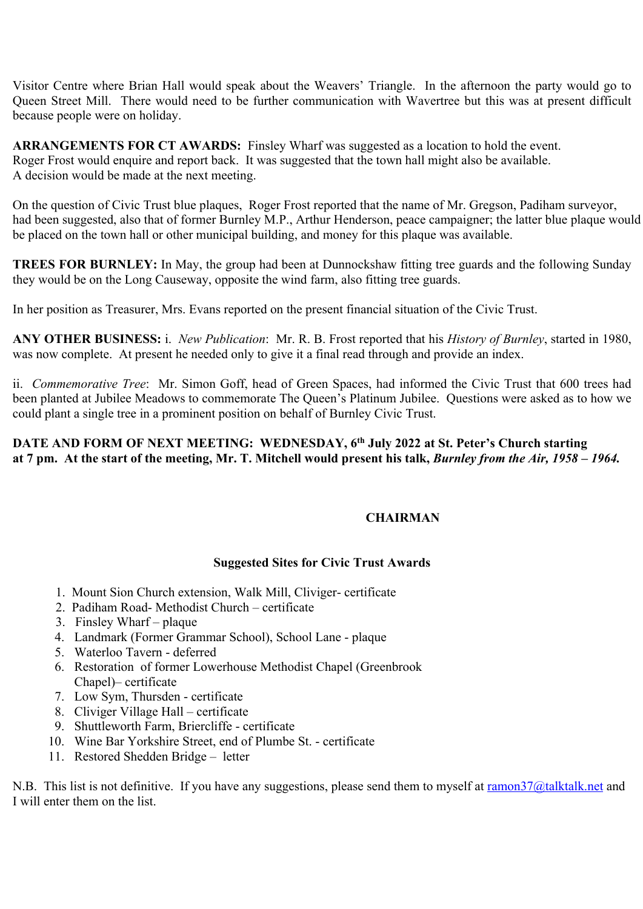Visitor Centre where Brian Hall would speak about the Weavers' Triangle. In the afternoon the party would go to Queen Street Mill. There would need to be further communication with Wavertree but this was at present difficult because people were on holiday.

**ARRANGEMENTS FOR CT AWARDS:** Finsley Wharf was suggested as a location to hold the event. Roger Frost would enquire and report back. It was suggested that the town hall might also be available. A decision would be made at the next meeting.

On the question of Civic Trust blue plaques, Roger Frost reported that the name of Mr. Gregson, Padiham surveyor, had been suggested, also that of former Burnley M.P., Arthur Henderson, peace campaigner; the latter blue plaque would be placed on the town hall or other municipal building, and money for this plaque was available.

**TREES FOR BURNLEY:** In May, the group had been at Dunnockshaw fitting tree guards and the following Sunday they would be on the Long Causeway, opposite the wind farm, also fitting tree guards.

In her position as Treasurer, Mrs. Evans reported on the present financial situation of the Civic Trust.

**ANY OTHER BUSINESS:** i. *New Publication*: Mr. R. B. Frost reported that his *History of Burnley*, started in 1980, was now complete. At present he needed only to give it a final read through and provide an index.

ii. *Commemorative Tree*: Mr. Simon Goff, head of Green Spaces, had informed the Civic Trust that 600 trees had been planted at Jubilee Meadows to commemorate The Queen's Platinum Jubilee. Questions were asked as to how we could plant a single tree in a prominent position on behalf of Burnley Civic Trust.

## **DATE AND FORM OF NEXT MEETING: WEDNESDAY, 6th July 2022 at St. Peter's Church starting at 7 pm. At the start of the meeting, Mr. T. Mitchell would present his talk,** *Burnley from the Air, 1958 – 1964.*

## **CHAIRMAN**

## **Suggested Sites for Civic Trust Awards**

- 1. Mount Sion Church extension, Walk Mill, Cliviger- certificate
- 2. Padiham Road- Methodist Church certificate
- 3. Finsley Wharf plaque
- 4. Landmark (Former Grammar School), School Lane plaque
- 5. Waterloo Tavern deferred
- 6. Restoration of former Lowerhouse Methodist Chapel (Greenbrook Chapel)– certificate
- 7. Low Sym, Thursden certificate
- 8. Cliviger Village Hall certificate
- 9. Shuttleworth Farm, Briercliffe certificate
- 10. Wine Bar Yorkshire Street, end of Plumbe St. certificate
- 11. Restored Shedden Bridge letter

N.B. This list is not definitive. If you have any suggestions, please send them to myself at ramon37@talktalk.net and I will enter them on the list.